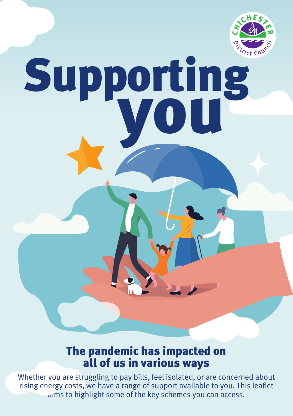

# Supporting

# The pandemic has impacted on all of us in various ways

aims to highlight some of the key schemes you can access. Whether you are struggling to pay bills, feel isolated, or are concerned about rising energy costs, we have a range of support available to you. This leaflet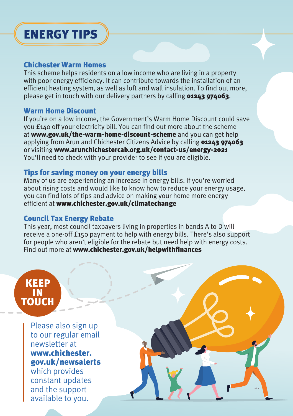# ENERGY TIPS

## Chichester Warm Homes

This scheme helps residents on a low income who are living in a property with poor energy efficiency. It can contribute towards the installation of an efficient heating system, as well as loft and wall insulation. To find out more, please get in touch with our delivery partners by calling **01243 974063**.

## Warm Home Discount

applying from Arun and Chichester Citizens Advice by calling 01243 974063 or visiting <www.arunchichestercab.org.uk/contact-us/energy-2021> If you're on a low income, the Government's Warm Home Discount could save you £140 off your electricity bill. You can find out more about the scheme at <www.gov.uk/the-warm-home-discount-scheme> and you can get help You'll need to check with your provider to see if you are eligible.

## Tips for saving money on your energy bills

Many of us are experiencing an increase in energy bills. If you're worried about rising costs and would like to know how to reduce your energy usage, you can find lots of tips and advice on making your home more energy efficient at <www.chichester.gov.uk/climatechange>

## Council Tax Energy Rebate

This year, most council taxpayers living in properties in bands A to D will receive a one-off £150 payment to help with energy bills. There's also support for people who aren't eligible for the rebate but need help with energy costs. Find out more at www.chichester.gov.uk/helpwithfinances

## Please also sign up to our regular email newsletter at www.chichester. gov.uk/newsalerts which provides constant updates and the support available to you. KEEP IN **TOUCH**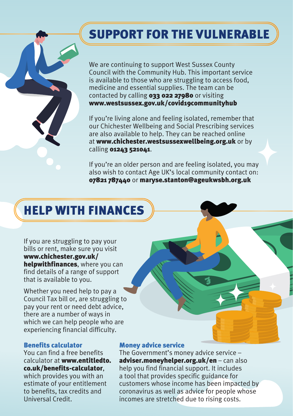# SUPPORT FOR THE VULNERABLE

We are continuing to support West Sussex County Council with the Community Hub. This important service is available to those who are struggling to access food, medicine and essential supplies. The team can be contacted by calling 033 022 27980 or visiting www.westsussex.gov.uk/covid19communityhub

If you're living alone and feeling isolated, remember that our Chichester Wellbeing and Social Prescribing services are also available to help. They can be reached online at www.chichester.westsussexwellbeing.org.uk or by calling 01243 521041.

If you're an older person and are feeling isolated, you may also wish to contact Age UK's local community contact on: 07821 787440 or maryse.stanton@ageukwsbh.org.uk

# HELP WITH FINANCES

If you are struggling to pay your bills or rent, make sure you visit www.chichester.gov.uk/ helpwithfinances, where you can find details of a range of support that is available to you.

Whether you need help to pay a Council Tax bill or, are struggling to pay your rent or need debt advice, there are a number of ways in which we can help people who are experiencing financial difficulty.

#### Benefits calculator

You can find a free benefits calculator at [www.entitledto.](www.entitledto) co.uk/benefits-calculator,

which provides you with an estimate of your entitlement to benefits, tax credits and Universal Credit.

#### Money advice service

The Government's money advice service – adviser.moneyhelper.org.uk/en - can also help you find financial support. It includes a tool that provides specific guidance for incomes are stretched due to rising costs. customers whose income has been impacted by coronavirus as well as advice for people whose